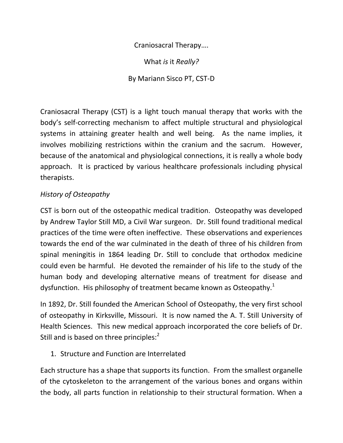Craniosacral Therapy….

What *is* it *Really?*

By Mariann Sisco PT, CST-D

Craniosacral Therapy (CST) is a light touch manual therapy that works with the body's self-correcting mechanism to affect multiple structural and physiological systems in attaining greater health and well being. As the name implies, it involves mobilizing restrictions within the cranium and the sacrum. However, because of the anatomical and physiological connections, it is really a whole body approach. It is practiced by various healthcare professionals including physical therapists.

## *History of Osteopathy*

CST is born out of the osteopathic medical tradition. Osteopathy was developed by Andrew Taylor Still MD, a Civil War surgeon. Dr. Still found traditional medical practices of the time were often ineffective. These observations and experiences towards the end of the war culminated in the death of three of his children from spinal meningitis in 1864 leading Dr. Still to conclude that orthodox medicine could even be harmful. He devoted the remainder of his life to the study of the human body and developing alternative means of treatment for disease and dysfunction. His philosophy of treatment became known as Osteopathy.<sup>1</sup>

In 1892, Dr. Still founded the American School of Osteopathy, the very first school of osteopathy in Kirksville, Missouri. It is now named the A. T. Still University of Health Sciences. This new medical approach incorporated the core beliefs of Dr. Still and is based on three principles:<sup>2</sup>

1. Structure and Function are Interrelated

Each structure has a shape that supports its function. From the smallest organelle of the cytoskeleton to the arrangement of the various bones and organs within the body, all parts function in relationship to their structural formation. When a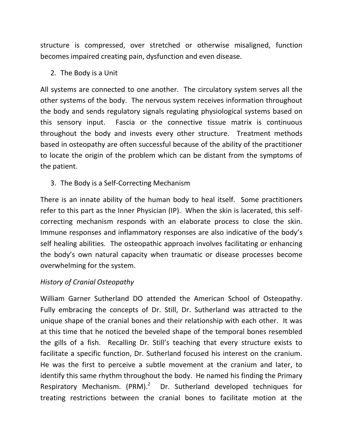structure is compressed, over stretched or otherwise misaligned, function becomes impaired creating pain, dysfunction and even disease.

2. The Body is a Unit

All systems are connected to one another. The circulatory system serves all the other systems of the body. The nervous system receives information throughout the body and sends regulatory signals regulating physiological systems based on this sensory input. Fascia or the connective tissue matrix is continuous throughout the body and invests every other structure. Treatment methods based in osteopathy are often successful because of the ability of the practitioner to locate the origin of the problem which can be distant from the symptoms of the patient.

3. The Body is a Self-Correcting Mechanism

There is an innate ability of the human body to heal itself. Some practitioners refer to this part as the Inner Physician (IP). When the skin is lacerated, this selfcorrecting mechanism responds with an elaborate process to close the skin. Immune responses and inflammatory responses are also indicative of the body's self healing abilities. The osteopathic approach involves facilitating or enhancing the body's own natural capacity when traumatic or disease processes become overwhelming for the system.

## *History of Cranial Osteopathy*

William Garner Sutherland DO attended the American School of Osteopathy. Fully embracing the concepts of Dr. Still, Dr. Sutherland was attracted to the unique shape of the cranial bones and their relationship with each other. It was at this time that he noticed the beveled shape of the temporal bones resembled the gills of a fish. Recalling Dr. Still's teaching that every structure exists to facilitate a specific function, Dr. Sutherland focused his interest on the cranium. He was the first to perceive a subtle movement at the cranium and later, to identify this same rhythm throughout the body. He named his finding the Primary Respiratory Mechanism. (PRM). $^2$  Dr. Sutherland developed techniques for treating restrictions between the cranial bones to facilitate motion at the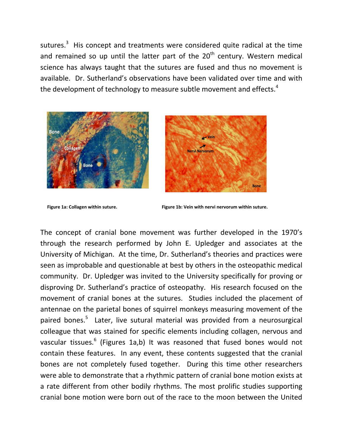sutures.<sup>3</sup> His concept and treatments were considered quite radical at the time and remained so up until the latter part of the  $20<sup>th</sup>$  century. Western medical science has always taught that the sutures are fused and thus no movement is available. Dr. Sutherland's observations have been validated over time and with the development of technology to measure subtle movement and effects.<sup>4</sup>







 **Figure 1a: Collagen within suture. Figure 1b: Vein with nervi nervorum within suture.**

The concept of cranial bone movement was further developed in the 1970's through the research performed by John E. Upledger and associates at the University of Michigan. At the time, Dr. Sutherland's theories and practices were seen as improbable and questionable at best by others in the osteopathic medical community. Dr. Upledger was invited to the University specifically for proving or disproving Dr. Sutherland's practice of osteopathy. His research focused on the movement of cranial bones at the sutures. Studies included the placement of antennae on the parietal bones of squirrel monkeys measuring movement of the paired bones.<sup>5</sup> Later, live sutural material was provided from a neurosurgical colleague that was stained for specific elements including collagen, nervous and vascular tissues.<sup>6</sup> (Figures 1a,b) It was reasoned that fused bones would not contain these features. In any event, these contents suggested that the cranial bones are not completely fused together. During this time other researchers were able to demonstrate that a rhythmic pattern of cranial bone motion exists at a rate different from other bodily rhythms. The most prolific studies supporting cranial bone motion were born out of the race to the moon between the United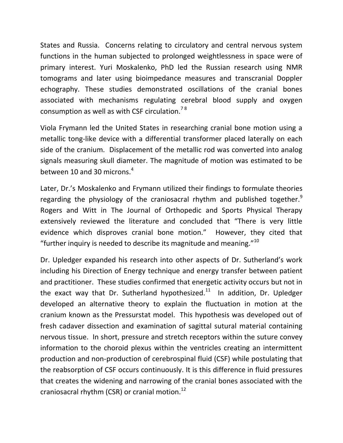States and Russia. Concerns relating to circulatory and central nervous system functions in the human subjected to prolonged weightlessness in space were of primary interest. Yuri Moskalenko, PhD led the Russian research using NMR tomograms and later using bioimpedance measures and transcranial Doppler echography. These studies demonstrated oscillations of the cranial bones associated with mechanisms regulating cerebral blood supply and oxygen consumption as well as with CSF circulation.<sup>78</sup>

Viola Frymann led the United States in researching cranial bone motion using a metallic tong-like device with a differential transformer placed laterally on each side of the cranium. Displacement of the metallic rod was converted into analog signals measuring skull diameter. The magnitude of motion was estimated to be between 10 and 30 microns.<sup>4</sup>

Later, Dr.'s Moskalenko and Frymann utilized their findings to formulate theories regarding the physiology of the craniosacral rhythm and published together.<sup>9</sup> Rogers and Witt in The Journal of Orthopedic and Sports Physical Therapy extensively reviewed the literature and concluded that "There is very little evidence which disproves cranial bone motion." However, they cited that "further inquiry is needed to describe its magnitude and meaning." $10<sup>10</sup>$ 

Dr. Upledger expanded his research into other aspects of Dr. Sutherland's work including his Direction of Energy technique and energy transfer between patient and practitioner. These studies confirmed that energetic activity occurs but not in the exact way that Dr. Sutherland hypothesized. $^{11}$  In addition, Dr. Upledger developed an alternative theory to explain the fluctuation in motion at the cranium known as the Pressurstat model. This hypothesis was developed out of fresh cadaver dissection and examination of sagittal sutural material containing nervous tissue. In short, pressure and stretch receptors within the suture convey information to the choroid plexus within the ventricles creating an intermittent production and non-production of cerebrospinal fluid (CSF) while postulating that the reabsorption of CSF occurs continuously. It is this difference in fluid pressures that creates the widening and narrowing of the cranial bones associated with the craniosacral rhythm (CSR) or cranial motion.<sup>12</sup>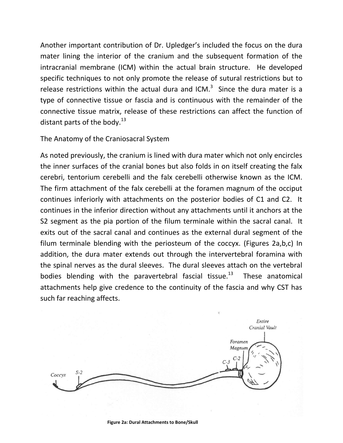Another important contribution of Dr. Upledger's included the focus on the dura mater lining the interior of the cranium and the subsequent formation of the intracranial membrane (ICM) within the actual brain structure. He developed specific techniques to not only promote the release of sutural restrictions but to release restrictions within the actual dura and ICM. $3$  Since the dura mater is a type of connective tissue or fascia and is continuous with the remainder of the connective tissue matrix, release of these restrictions can affect the function of distant parts of the body. $^{13}$ 

## The Anatomy of the Craniosacral System

As noted previously, the cranium is lined with dura mater which not only encircles the inner surfaces of the cranial bones but also folds in on itself creating the falx cerebri, tentorium cerebelli and the falx cerebelli otherwise known as the ICM. The firm attachment of the falx cerebelli at the foramen magnum of the occiput continues inferiorly with attachments on the posterior bodies of C1 and C2. It continues in the inferior direction without any attachments until it anchors at the S2 segment as the pia portion of the filum terminale within the sacral canal. It exits out of the sacral canal and continues as the external dural segment of the filum terminale blending with the periosteum of the coccyx. (Figures 2a,b,c) In addition, the dura mater extends out through the intervertebral foramina with the spinal nerves as the dural sleeves. The dural sleeves attach on the vertebral bodies blending with the paravertebral fascial tissue.<sup>13</sup> These anatomical attachments help give credence to the continuity of the fascia and why CST has such far reaching affects.

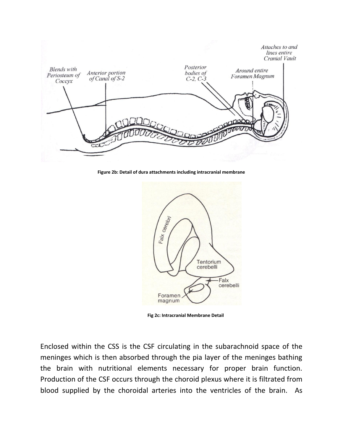

**Figure 2b: Detail of dura attachments including intracranial membrane**



 **Fig 2c: Intracranial Membrane Detail**

Enclosed within the CSS is the CSF circulating in the subarachnoid space of the meninges which is then absorbed through the pia layer of the meninges bathing the brain with nutritional elements necessary for proper brain function. Production of the CSF occurs through the choroid plexus where it is filtrated from blood supplied by the choroidal arteries into the ventricles of the brain. As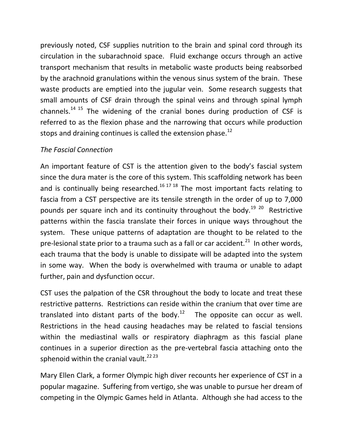previously noted, CSF supplies nutrition to the brain and spinal cord through its circulation in the subarachnoid space. Fluid exchange occurs through an active transport mechanism that results in metabolic waste products being reabsorbed by the arachnoid granulations within the venous sinus system of the brain. These waste products are emptied into the jugular vein. Some research suggests that small amounts of CSF drain through the spinal veins and through spinal lymph channels.<sup>14 15</sup> The widening of the cranial bones during production of CSF is referred to as the flexion phase and the narrowing that occurs while production stops and draining continues is called the extension phase.<sup>12</sup>

## *The Fascial Connection*

An important feature of CST is the attention given to the body's fascial system since the dura mater is the core of this system. This scaffolding network has been and is continually being researched.<sup>16 17 18</sup> The most important facts relating to fascia from a CST perspective are its tensile strength in the order of up to 7,000 pounds per square inch and its continuity throughout the body.<sup>19 20</sup> Restrictive patterns within the fascia translate their forces in unique ways throughout the system. These unique patterns of adaptation are thought to be related to the pre-lesional state prior to a trauma such as a fall or car accident.<sup>21</sup> In other words, each trauma that the body is unable to dissipate will be adapted into the system in some way. When the body is overwhelmed with trauma or unable to adapt further, pain and dysfunction occur.

CST uses the palpation of the CSR throughout the body to locate and treat these restrictive patterns. Restrictions can reside within the cranium that over time are translated into distant parts of the body. $12$  The opposite can occur as well. Restrictions in the head causing headaches may be related to fascial tensions within the mediastinal walls or respiratory diaphragm as this fascial plane continues in a superior direction as the pre-vertebral fascia attaching onto the sphenoid within the cranial vault.<sup>22 23</sup>

Mary Ellen Clark, a former Olympic high diver recounts her experience of CST in a popular magazine. Suffering from vertigo, she was unable to pursue her dream of competing in the Olympic Games held in Atlanta. Although she had access to the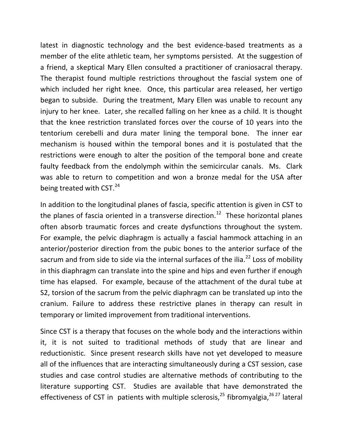latest in diagnostic technology and the best evidence-based treatments as a member of the elite athletic team, her symptoms persisted. At the suggestion of a friend, a skeptical Mary Ellen consulted a practitioner of craniosacral therapy. The therapist found multiple restrictions throughout the fascial system one of which included her right knee. Once, this particular area released, her vertigo began to subside. During the treatment, Mary Ellen was unable to recount any injury to her knee. Later, she recalled falling on her knee as a child. It is thought that the knee restriction translated forces over the course of 10 years into the tentorium cerebelli and dura mater lining the temporal bone. The inner ear mechanism is housed within the temporal bones and it is postulated that the restrictions were enough to alter the position of the temporal bone and create faulty feedback from the endolymph within the semicircular canals. Ms. Clark was able to return to competition and won a bronze medal for the USA after being treated with  $CST.<sup>24</sup>$ 

In addition to the longitudinal planes of fascia, specific attention is given in CST to the planes of fascia oriented in a transverse direction.<sup>12</sup> These horizontal planes often absorb traumatic forces and create dysfunctions throughout the system. For example, the pelvic diaphragm is actually a fascial hammock attaching in an anterior/posterior direction from the pubic bones to the anterior surface of the sacrum and from side to side via the internal surfaces of the ilia.<sup>22</sup> Loss of mobility in this diaphragm can translate into the spine and hips and even further if enough time has elapsed. For example, because of the attachment of the dural tube at S2, torsion of the sacrum from the pelvic diaphragm can be translated up into the cranium. Failure to address these restrictive planes in therapy can result in temporary or limited improvement from traditional interventions.

Since CST is a therapy that focuses on the whole body and the interactions within it, it is not suited to traditional methods of study that are linear and reductionistic. Since present research skills have not yet developed to measure all of the influences that are interacting simultaneously during a CST session, case studies and case control studies are alternative methods of contributing to the literature supporting CST. Studies are available that have demonstrated the effectiveness of CST in patients with multiple sclerosis,<sup>25</sup> fibromyalgia,<sup>26 27</sup> lateral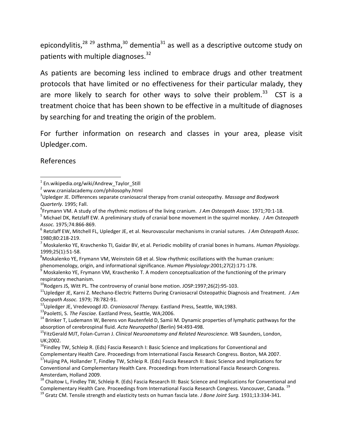epicondylitis, $28^{29}$  asthma, $30^{30}$  dementia $31^{31}$  as well as a descriptive outcome study on patients with multiple diagnoses.<sup>32</sup>

As patients are becoming less inclined to embrace drugs and other treatment protocols that have limited or no effectiveness for their particular malady, they are more likely to search for other ways to solve their problem.<sup>33</sup> CST is a treatment choice that has been shown to be effective in a multitude of diagnoses by searching for and treating the origin of the problem.

For further information on research and classes in your area, please visit Upledger.com.

References

 $\overline{\phantom{a}}$ 

respiratory mechanism.

- <sup>12</sup>Upledger JE, Vredevoogd JD. *Craniosacral Therapy.* Eastland Press, Seattle, WA;1983.
- <sup>13</sup>Paoletti, S. *The Fasciae.* Eastland Press, Seattle, WA;2006.

<sup>1</sup> En.wikipedia.org/wiki/Andrew\_Taylor\_Still

<sup>2</sup> www.cranialacademy.com/philosophy.html

<sup>3</sup> Upledger JE. Differences separate craniosacral therapy from cranial osteopathy. *Massage and Bodywork Quarterly.* 1995; Fall.

<sup>4</sup> Frymann VM. A study of the rhythmic motions of the living cranium. *J Am Osteopath Assoc.* 1971;70:1-18.

<sup>5</sup> Michael DK, Retzlaff EW. A preliminary study of cranial bone movement in the squirrel monkey. *J Am Osteopath Assoc.* 1975;74:866-869.

<sup>6</sup> Retzlaff EW, Mitchell FL, Upledger JE, et al. Neurovascular mechanisms in cranial sutures. *J Am Osteopath Assoc.* 1980;80:218-219.

<sup>7</sup> Moskalenko YE, Kravchenko TI, Gaidar BV, et al. Periodic mobility of cranial bones in humans. *Human Physiology.* 1999;25(1):51-58.

 $8$ Moskalenko YE, Frymann VM, Weinstein GB et al. Slow rhythmic oscillations with the human cranium: phenomenology, origin, and informational significance. *Human Physiology*:2001;27(2):171-178.

 $9$  Moskalenko YE, Frymann VM, Kravchenko T. A modern conceptualization of the functioning of the primary

 $^{10}$ Rodgers JS, Witt PL. The controversy of cranial bone motion. JOSP:1997;26(2):95-103.

<sup>11</sup>Upledger JE, Karni Z. Mechano-Electric Patterns During Craniosacral Osteopathic Diagnosis and Treatment*. J Am Oseopath Assoc.* 1979; 78:782-91.

<sup>&</sup>lt;sup>14</sup> Brinker T, Ludemann W, Berens von Rautenfeld D, Samii M. Dynamic properties of lymphatic pathways for the absorption of cerebrospinal fluid. *Acta Neuropathol* (Berlin) 94:493-498.

<sup>15</sup>FitzGerald MJT, Folan-Curran J. *Clinical Neuroanatomy and Related Neuroscience.* WB Saunders, London, UK;2002.

<sup>&</sup>lt;sup>16</sup>Findley TW, Schleip R. (Eds) Fascia Research I: Basic Science and Implications for Conventional and Complementary Health Care. Proceedings from International Fascia Research Congress. Boston, MA 2007.

<sup>&</sup>lt;sup>17</sup>Huijing PA, Hollander T, Findley TW, Schleip R. (Eds) Fascia Research II: Basic Science and Implications for Conventional and Complementary Health Care. Proceedings from International Fascia Research Congress. Amsterdam, Holland 2009.

<sup>&</sup>lt;sup>18</sup> Chaitow L, Findley TW, Schleip R. (Eds) Fascia Research III: Basic Science and Implications for Conventional and Complementary Health Care. Proceedings from International Fascia Research Congress. Vancouver, Canada. <sup>19</sup>

<sup>19</sup> Gratz CM. Tensile strength and elasticity tests on human fascia late. *J Bone Joint Surg.* 1931;13:334-341.